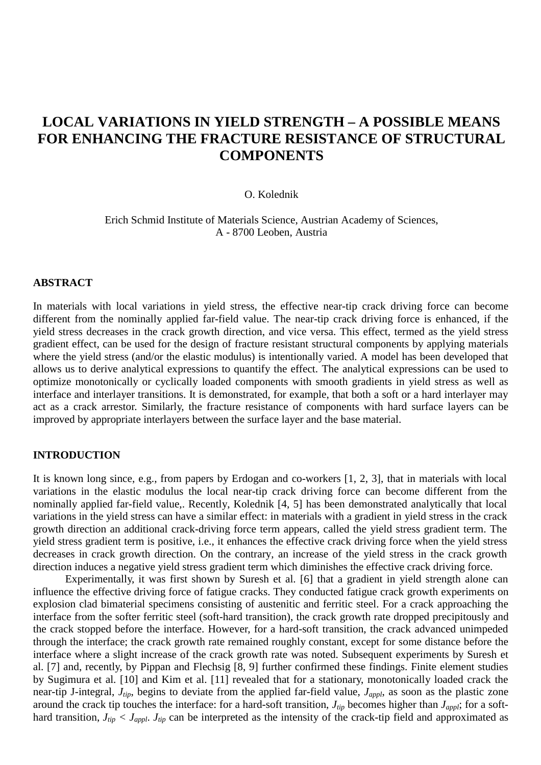# **LOCAL VARIATIONS IN YIELD STRENGTH – A POSSIBLE MEANS FOR ENHANCING THE FRACTURE RESISTANCE OF STRUCTURAL COMPONENTS**

#### O. Kolednik

Erich Schmid Institute of Materials Science, Austrian Academy of Sciences, A - 8700 Leoben, Austria

## **ABSTRACT**

In materials with local variations in yield stress, the effective near-tip crack driving force can become different from the nominally applied far-field value. The near-tip crack driving force is enhanced, if the yield stress decreases in the crack growth direction, and vice versa. This effect, termed as the yield stress gradient effect, can be used for the design of fracture resistant structural components by applying materials where the yield stress (and/or the elastic modulus) is intentionally varied. A model has been developed that allows us to derive analytical expressions to quantify the effect. The analytical expressions can be used to optimize monotonically or cyclically loaded components with smooth gradients in yield stress as well as interface and interlayer transitions. It is demonstrated, for example, that both a soft or a hard interlayer may act as a crack arrestor. Similarly, the fracture resistance of components with hard surface layers can be improved by appropriate interlayers between the surface layer and the base material.

## **INTRODUCTION**

It is known long since, e.g., from papers by Erdogan and co-workers [1, 2, 3], that in materials with local variations in the elastic modulus the local near-tip crack driving force can become different from the nominally applied far-field value,. Recently, Kolednik [4, 5] has been demonstrated analytically that local variations in the yield stress can have a similar effect: in materials with a gradient in yield stress in the crack growth direction an additional crack-driving force term appears, called the yield stress gradient term. The yield stress gradient term is positive, i.e., it enhances the effective crack driving force when the yield stress decreases in crack growth direction. On the contrary, an increase of the yield stress in the crack growth direction induces a negative yield stress gradient term which diminishes the effective crack driving force.

Experimentally, it was first shown by Suresh et al. [6] that a gradient in yield strength alone can influence the effective driving force of fatigue cracks. They conducted fatigue crack growth experiments on explosion clad bimaterial specimens consisting of austenitic and ferritic steel. For a crack approaching the interface from the softer ferritic steel (soft-hard transition), the crack growth rate dropped precipitously and the crack stopped before the interface. However, for a hard-soft transition, the crack advanced unimpeded through the interface; the crack growth rate remained roughly constant, except for some distance before the interface where a slight increase of the crack growth rate was noted. Subsequent experiments by Suresh et al. [7] and, recently, by Pippan and Flechsig [8, 9] further confirmed these findings. Finite element studies by Sugimura et al. [10] and Kim et al. [11] revealed that for a stationary, monotonically loaded crack the near-tip J-integral, *Jtip*, begins to deviate from the applied far-field value, *Jappl*, as soon as the plastic zone around the crack tip touches the interface: for a hard-soft transition,  $J_{tip}$  becomes higher than  $J_{appl}$ ; for a softhard transition,  $J_{tip} < J_{appl}$ .  $J_{tip}$  can be interpreted as the intensity of the crack-tip field and approximated as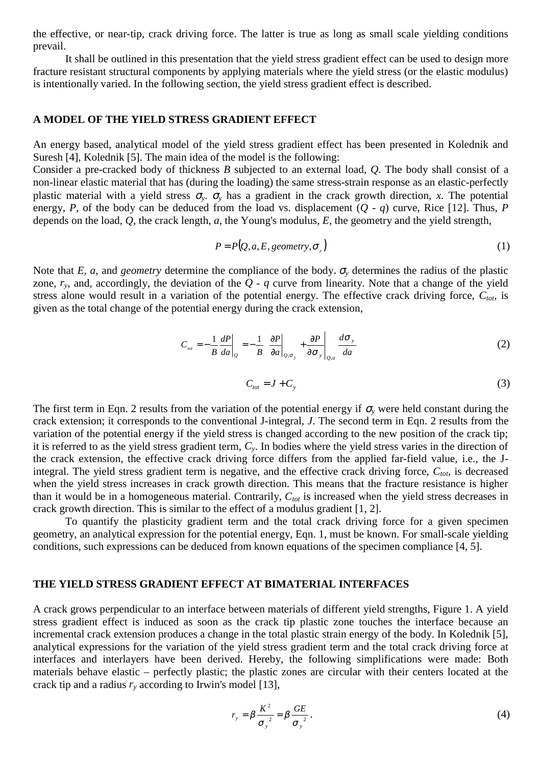the effective, or near-tip, crack driving force. The latter is true as long as small scale yielding conditions prevail.

It shall be outlined in this presentation that the yield stress gradient effect can be used to design more fracture resistant structural components by applying materials where the yield stress (or the elastic modulus) is intentionally varied. In the following section, the yield stress gradient effect is described.

## **A MODEL OF THE YIELD STRESS GRADIENT EFFECT**

An energy based, analytical model of the yield stress gradient effect has been presented in Kolednik and Suresh [4], Kolednik [5]. The main idea of the model is the following:

Consider a pre-cracked body of thickness *B* subjected to an external load, *Q*. The body shall consist of a non-linear elastic material that has (during the loading) the same stress-strain response as an elastic-perfectly plastic material with a yield stress  $\sigma_v$ .  $\sigma_v$  has a gradient in the crack growth direction, *x*. The potential energy, *P*, of the body can be deduced from the load vs. displacement  $(Q - q)$  curve, Rice [12]. Thus, *P* depends on the load, *Q*, the crack length, *a*, the Young's modulus, *E*, the geometry and the yield strength,

$$
P = P(Q, a, E, geometry, \sigmay)
$$
 (1)

Note that *E*, *a*, and *geometry* determine the compliance of the body.  $\sigma$ <sub>*y*</sub> determines the radius of the plastic zone,  $r_v$ , and, accordingly, the deviation of the  $Q - q$  curve from linearity. Note that a change of the yield stress alone would result in a variation of the potential energy. The effective crack driving force,  $C_{tot}$ , is given as the total change of the potential energy during the crack extension,

$$
C_{\text{tot}} = -\frac{1}{B} \frac{dP}{da} \bigg|_{Q} = -\frac{1}{B} \left\{ \frac{\partial P}{\partial a} \bigg|_{Q,\sigma_{y}} + \frac{\partial P}{\partial \sigma_{y}} \bigg|_{Q,a} \frac{d\sigma_{y}}{da} \right\}
$$
(2)

$$
C_{\text{tot}} = J + C_{\text{y}} \tag{3}
$$

The first term in Eqn. 2 results from the variation of the potential energy if  $\sigma_v$  were held constant during the crack extension; it corresponds to the conventional J-integral, *J*. The second term in Eqn. 2 results from the variation of the potential energy if the yield stress is changed according to the new position of the crack tip; it is referred to as the yield stress gradient term, *Cy*. In bodies where the yield stress varies in the direction of the crack extension, the effective crack driving force differs from the applied far-field value, i.e., the Jintegral. The yield stress gradient term is negative, and the effective crack driving force,  $C_{tot}$ , is decreased when the yield stress increases in crack growth direction. This means that the fracture resistance is higher than it would be in a homogeneous material. Contrarily,  $C_{tot}$  is increased when the yield stress decreases in crack growth direction. This is similar to the effect of a modulus gradient [1, 2].

To quantify the plasticity gradient term and the total crack driving force for a given specimen geometry, an analytical expression for the potential energy, Eqn. 1, must be known. For small-scale yielding conditions, such expressions can be deduced from known equations of the specimen compliance [4, 5].

#### **THE YIELD STRESS GRADIENT EFFECT AT BIMATERIAL INTERFACES**

A crack grows perpendicular to an interface between materials of different yield strengths, Figure 1. A yield stress gradient effect is induced as soon as the crack tip plastic zone touches the interface because an incremental crack extension produces a change in the total plastic strain energy of the body. In Kolednik [5], analytical expressions for the variation of the yield stress gradient term and the total crack driving force at interfaces and interlayers have been derived. Hereby, the following simplifications were made: Both materials behave elastic – perfectly plastic; the plastic zones are circular with their centers located at the crack tip and a radius  $r<sub>v</sub>$  according to Irwin's model [13],

$$
r_{y} = \beta \frac{K^{2}}{\sigma_{y}^{2}} = \beta \frac{GE}{\sigma_{y}^{2}}.
$$
 (4)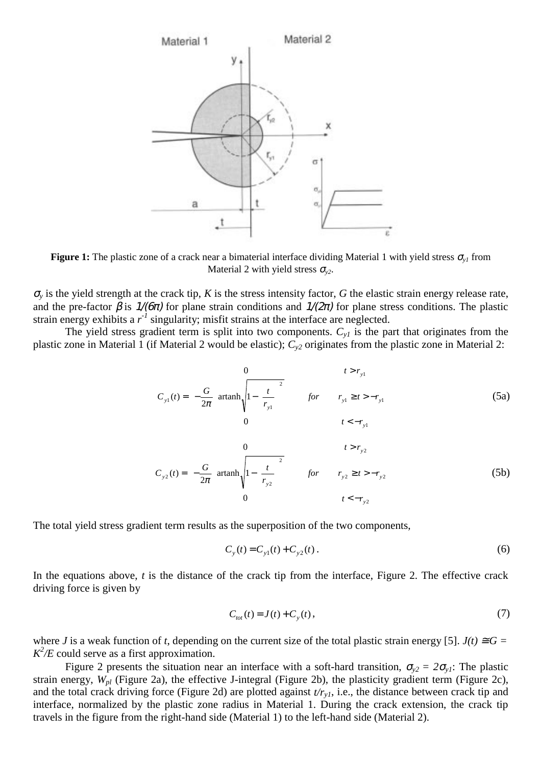

**Figure 1:** The plastic zone of a crack near a bimaterial interface dividing Material 1 with yield stress  $\sigma_{v}$  from Material 2 with yield stress  $\sigma_{v2}$ .

 $\sigma$ <sub>y</sub> is the yield strength at the crack tip, *K* is the stress intensity factor, *G* the elastic strain energy release rate, and the pre-factor  $\beta$  is  $1/(6\pi)$  for plane strain conditions and  $1/(2\pi)$  for plane stress conditions. The plastic strain energy exhibits a  $r<sup>1</sup>$  singularity; misfit strains at the interface are neglected.

The yield stress gradient term is split into two components.  $C_{v1}$  is the part that originates from the plastic zone in Material 1 (if Material 2 would be elastic); *Cy2* originates from the plastic zone in Material 2:

$$
C_{y1}(t) = \begin{cases} 0 & t > r_{y1} \\ -\frac{G}{2\pi} \left[ \operatorname{artanh}\sqrt{1 - \left(\frac{t}{r_{y1}}\right)^2} \right] & \text{for} & r_{y1} \ge t > -r_{y1} \\ 0 & t < -r_{y1} \end{cases}
$$
(5a)

$$
C_{y2}(t) = \begin{cases} 0 & t > r_{y2} \\ -\frac{G}{2\pi} \left[ \operatorname{artanh}_{\sqrt{1 - \left(\frac{t}{r_{y2}}\right)^2}} \right] & \text{for} & r_{y2} \ge t > -r_{y2} \\ 0 & t < -r_{y2} \end{cases}
$$
(5b)

The total yield stress gradient term results as the superposition of the two components,

$$
C_y(t) = C_{y1}(t) + C_{y2}(t).
$$
 (6)

In the equations above, *t* is the distance of the crack tip from the interface, Figure 2. The effective crack driving force is given by

$$
C_{tot}(t) = J(t) + C_{y}(t),
$$
\n(7)

where *J* is a weak function of *t*, depending on the current size of the total plastic strain energy [5].  $J(t) \cong G =$  $K^2/E$  could serve as a first approximation.

Figure 2 presents the situation near an interface with a soft-hard transition,  $\sigma_{v2} = 2\sigma_{v1}$ : The plastic strain energy, *Wpl* (Figure 2a), the effective J-integral (Figure 2b), the plasticity gradient term (Figure 2c), and the total crack driving force (Figure 2d) are plotted against  $t/r_{vI}$ , i.e., the distance between crack tip and interface, normalized by the plastic zone radius in Material 1. During the crack extension, the crack tip travels in the figure from the right-hand side (Material 1) to the left-hand side (Material 2).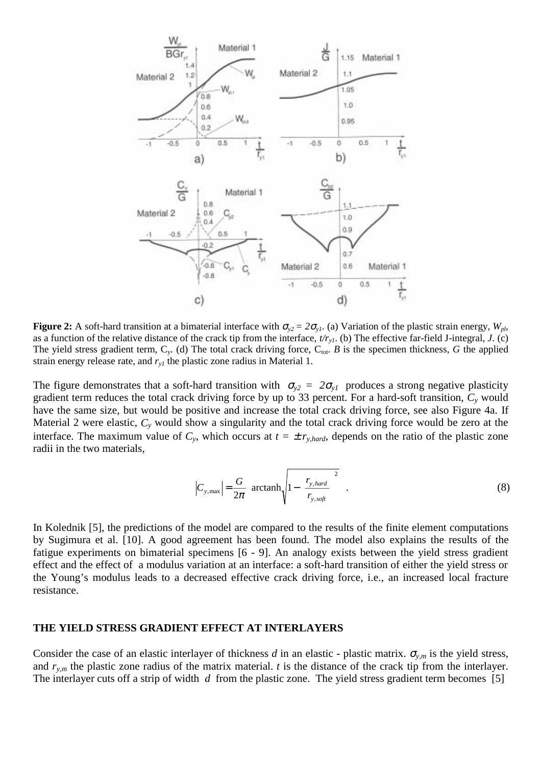

**Figure 2:** A soft-hard transition at a bimaterial interface with  $\sigma_{v2} = 2\sigma_{v1}$ . (a) Variation of the plastic strain energy,  $W_{pl}$ , as a function of the relative distance of the crack tip from the interface, *t/ry1*. (b) The effective far-field J-integral, *J*. (c) The yield stress gradient term,  $C_y$ . (d) The total crack driving force,  $C_{\text{tot}}$ . *B* is the specimen thickness, *G* the applied strain energy release rate, and  $r_{y1}$  the plastic zone radius in Material 1.

The figure demonstrates that a soft-hard transition with  $\sigma_{y2} = 2\sigma_{y1}$  produces a strong negative plasticity gradient term reduces the total crack driving force by up to 33 percent. For a hard-soft transition, *Cy* would have the same size, but would be positive and increase the total crack driving force, see also Figure 4a. If Material 2 were elastic, *Cy* would show a singularity and the total crack driving force would be zero at the interface. The maximum value of  $C_y$ , which occurs at  $t = \pm r_{y, hard}$ , depends on the ratio of the plastic zone radii in the two materials,

$$
\left|C_{y,\text{max}}\right| = \frac{G}{2\pi} \left[ \arctanh\sqrt{1 - \left(\frac{r_{y,\text{hard}}}{r_{y,\text{soft}}}\right)^2} \right].\tag{8}
$$

In Kolednik [5], the predictions of the model are compared to the results of the finite element computations by Sugimura et al. [10]. A good agreement has been found. The model also explains the results of the fatigue experiments on bimaterial specimens [6 - 9]. An analogy exists between the yield stress gradient effect and the effect of a modulus variation at an interface: a soft-hard transition of either the yield stress or the Young's modulus leads to a decreased effective crack driving force, i.e., an increased local fracture resistance.

## **THE YIELD STRESS GRADIENT EFFECT AT INTERLAYERS**

Consider the case of an elastic interlayer of thickness *d* in an elastic - plastic matrix.  $\sigma_{y,m}$  is the yield stress, and  $r_{v,m}$  the plastic zone radius of the matrix material. *t* is the distance of the crack tip from the interlayer. The interlayer cuts off a strip of width *d* from the plastic zone. The yield stress gradient term becomes [5]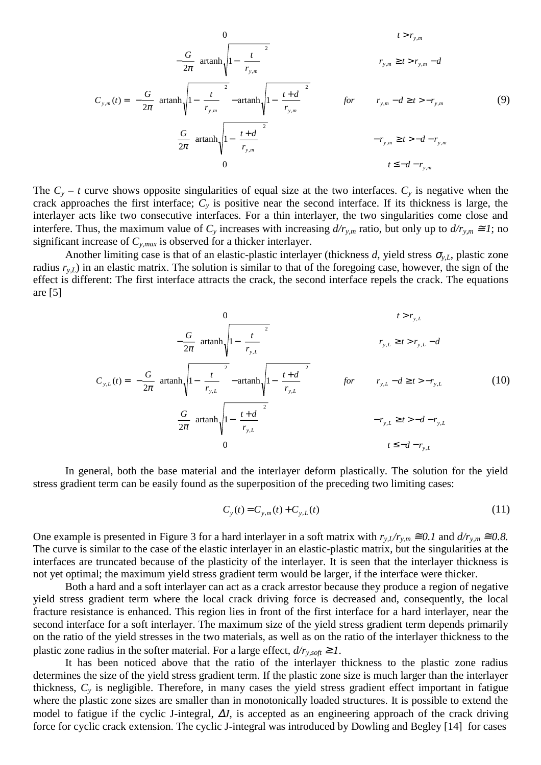$$
C_{y,m}(t) = \begin{cases}\n0 & t > r_{y,m} \\
-\frac{G}{2\pi} \left[\operatorname{artanh}\sqrt{1 - \left(\frac{t}{r_{y,m}}\right)^2}\right] & r_{y,m} \ge t > r_{y,m} - d \\
-\frac{G}{2\pi} \left[\operatorname{artanh}\sqrt{1 - \left(\frac{t}{r_{y,m}}\right)^2} - \operatorname{artanh}\sqrt{1 - \left(\frac{t+d}{r_{y,m}}\right)^2}\right] & \text{for} & r_{y,m} - d \ge t > -r_{y,m} \\
\frac{G}{2\pi} \left[\operatorname{artanh}\sqrt{1 - \left(\frac{t+d}{r_{y,m}}\right)^2}\right] & -r_{y,m} \ge t > -d - r_{y,m}\n\end{cases} \tag{9}
$$

The  $C_y - t$  curve shows opposite singularities of equal size at the two interfaces.  $C_y$  is negative when the crack approaches the first interface;  $C<sub>y</sub>$  is positive near the second interface. If its thickness is large, the interlayer acts like two consecutive interfaces. For a thin interlayer, the two singularities come close and interfere. Thus, the maximum value of  $C_y$  increases with increasing  $d/r_{y,m}$  ratio, but only up to  $d/r_{y,m} \cong I$ ; no significant increase of *Cy,max* is observed for a thicker interlayer.

Another limiting case is that of an elastic-plastic interlayer (thickness *d*, yield stress  $\sigma_{v,L}$ , plastic zone radius  $r_{y,L}$ ) in an elastic matrix. The solution is similar to that of the foregoing case, however, the sign of the effect is different: The first interface attracts the crack, the second interface repels the crack. The equations are [5]

$$
C_{y,L}(t) = \begin{cases}\n0 & t > r_{y,L} \\
-\frac{G}{2\pi} \left[\operatorname{artanh}\sqrt{1 - \left(\frac{t}{r_{y,L}}\right)^2}\right] & r_{y,L} \ge t > r_{y,L} - d \\
-\frac{G}{2\pi} \left[\operatorname{artanh}\sqrt{1 - \left(\frac{t}{r_{y,L}}\right)^2} - \operatorname{artanh}\sqrt{1 - \left(\frac{t+d}{r_{y,L}}\right)^2}\right] & \text{for} & r_{y,L} - d \ge t > -r_{y,L} \\
\frac{G}{2\pi} \left[\operatorname{artanh}\sqrt{1 - \left(\frac{t+d}{r_{y,L}}\right)^2}\right] & -r_{y,L} \ge t > -d - r_{y,L} \\
0 & t \le -d - r_{y,L}\n\end{cases} (10)
$$

In general, both the base material and the interlayer deform plastically. The solution for the yield stress gradient term can be easily found as the superposition of the preceding two limiting cases:

$$
C_{y}(t) = C_{y,m}(t) + C_{y,L}(t)
$$
\n(11)

One example is presented in Figure 3 for a hard interlayer in a soft matrix with  $r_{y,L}/r_{y,m} \approx 0.1$  and  $d/r_{y,m} \approx 0.8$ . The curve is similar to the case of the elastic interlayer in an elastic-plastic matrix, but the singularities at the interfaces are truncated because of the plasticity of the interlayer. It is seen that the interlayer thickness is not yet optimal; the maximum yield stress gradient term would be larger, if the interface were thicker.

Both a hard and a soft interlayer can act as a crack arrestor because they produce a region of negative yield stress gradient term where the local crack driving force is decreased and, consequently, the local fracture resistance is enhanced. This region lies in front of the first interface for a hard interlayer, near the second interface for a soft interlayer. The maximum size of the yield stress gradient term depends primarily on the ratio of the yield stresses in the two materials, as well as on the ratio of the interlayer thickness to the plastic zone radius in the softer material. For a large effect,  $d/r_{y, soft} \geq 1$ .

It has been noticed above that the ratio of the interlayer thickness to the plastic zone radius determines the size of the yield stress gradient term. If the plastic zone size is much larger than the interlayer thickness, *Cy* is negligible. Therefore, in many cases the yield stress gradient effect important in fatigue where the plastic zone sizes are smaller than in monotonically loaded structures. It is possible to extend the model to fatigue if the cyclic J-integral, ∆*J*, is accepted as an engineering approach of the crack driving force for cyclic crack extension. The cyclic J-integral was introduced by Dowling and Begley [14] for cases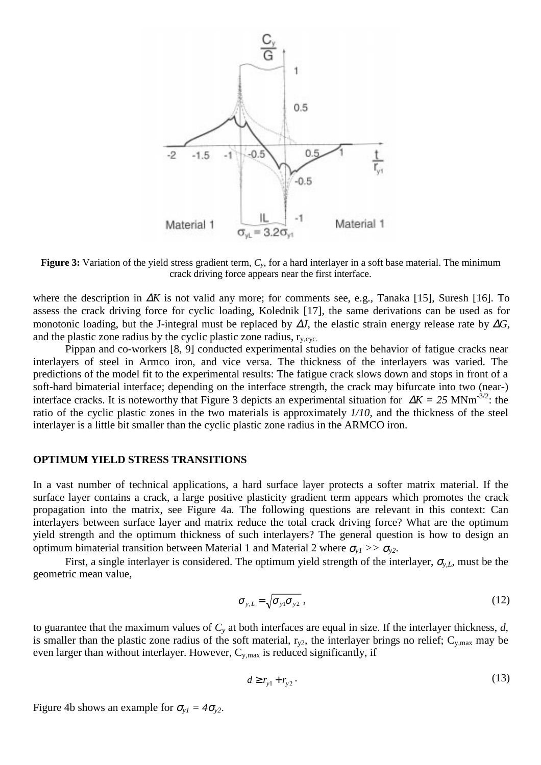

**Figure 3:** Variation of the yield stress gradient term,  $C_y$ , for a hard interlayer in a soft base material. The minimum crack driving force appears near the first interface.

where the description in ∆*K* is not valid any more; for comments see, e.g., Tanaka [15], Suresh [16]. To assess the crack driving force for cyclic loading, Kolednik [17], the same derivations can be used as for monotonic loading, but the J-integral must be replaced by ∆*J*, the elastic strain energy release rate by ∆*G,* and the plastic zone radius by the cyclic plastic zone radius,  $r_{v, cvc}$ .

Pippan and co-workers [8, 9] conducted experimental studies on the behavior of fatigue cracks near interlayers of steel in Armco iron, and vice versa. The thickness of the interlayers was varied. The predictions of the model fit to the experimental results: The fatigue crack slows down and stops in front of a soft-hard bimaterial interface; depending on the interface strength, the crack may bifurcate into two (near-) interface cracks. It is noteworthy that Figure 3 depicts an experimental situation for ∆*K = 25* MNm-3/2: the ratio of the cyclic plastic zones in the two materials is approximately *1/10*, and the thickness of the steel interlayer is a little bit smaller than the cyclic plastic zone radius in the ARMCO iron.

## **OPTIMUM YIELD STRESS TRANSITIONS**

In a vast number of technical applications, a hard surface layer protects a softer matrix material. If the surface layer contains a crack, a large positive plasticity gradient term appears which promotes the crack propagation into the matrix, see Figure 4a. The following questions are relevant in this context: Can interlayers between surface layer and matrix reduce the total crack driving force? What are the optimum yield strength and the optimum thickness of such interlayers? The general question is how to design an optimum bimaterial transition between Material 1 and Material 2 where  $\sigma_{v1} >> \sigma_{v2}$ .

First, a single interlayer is considered. The optimum yield strength of the interlayer,  $\sigma_{v,L}$ , must be the geometric mean value,

$$
\sigma_{y,L} = \sqrt{\sigma_{y1} \sigma_{y2}} \,, \tag{12}
$$

to guarantee that the maximum values of *Cy* at both interfaces are equal in size. If the interlayer thickness, *d*, is smaller than the plastic zone radius of the soft material,  $r_{v2}$ , the interlayer brings no relief;  $C_{y, max}$  may be even larger than without interlayer. However,  $C_{y, max}$  is reduced significantly, if

$$
d \ge r_{y1} + r_{y2} \tag{13}
$$

Figure 4b shows an example for  $\sigma_{y1} = 4\sigma_{y2}$ .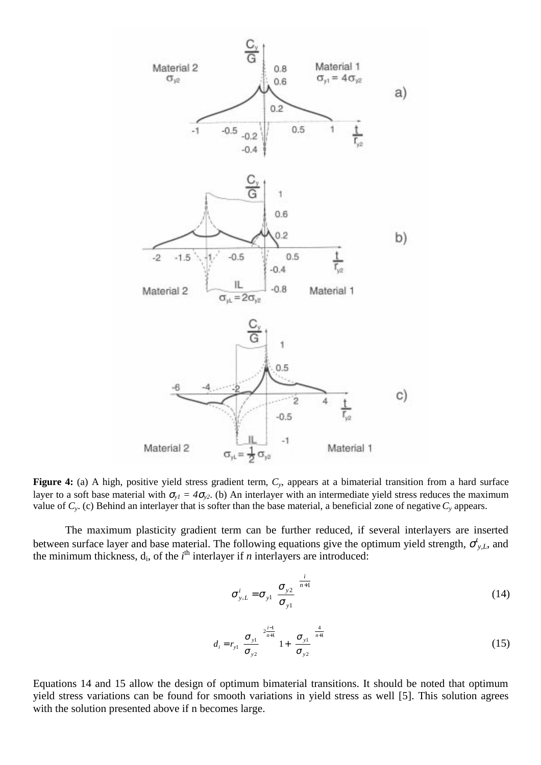

**Figure 4:** (a) A high, positive yield stress gradient term, *Cy*, appears at a bimaterial transition from a hard surface layer to a soft base material with  $\sigma_{y1} = 4\sigma_{y2}$ . (b) An interlayer with an intermediate yield stress reduces the maximum value of *Cy*. (c) Behind an interlayer that is softer than the base material, a beneficial zone of negative *Cy* appears.

The maximum plasticity gradient term can be further reduced, if several interlayers are inserted between surface layer and base material. The following equations give the optimum yield strength,  $\sigma_{y,L}^l$ , and the minimum thickness,  $d_i$ , of the  $i^{\text{th}}$  interlayer if *n* interlayers are introduced:

$$
\sigma_{y,L}^i = \sigma_{y1} \left( \frac{\sigma_{y2}}{\sigma_{y1}} \right)^{\frac{i}{n+1}}
$$
 (14)

$$
d_{i} = r_{y1} \left( \frac{\sigma_{y1}}{\sigma_{y2}} \right)^{2\frac{i-1}{n+1}} \left[ 1 + \left( \frac{\sigma_{y1}}{\sigma_{y2}} \right)^{2\frac{4}{n+1}} \right]
$$
(15)

Equations 14 and 15 allow the design of optimum bimaterial transitions. It should be noted that optimum yield stress variations can be found for smooth variations in yield stress as well [5]. This solution agrees with the solution presented above if n becomes large.